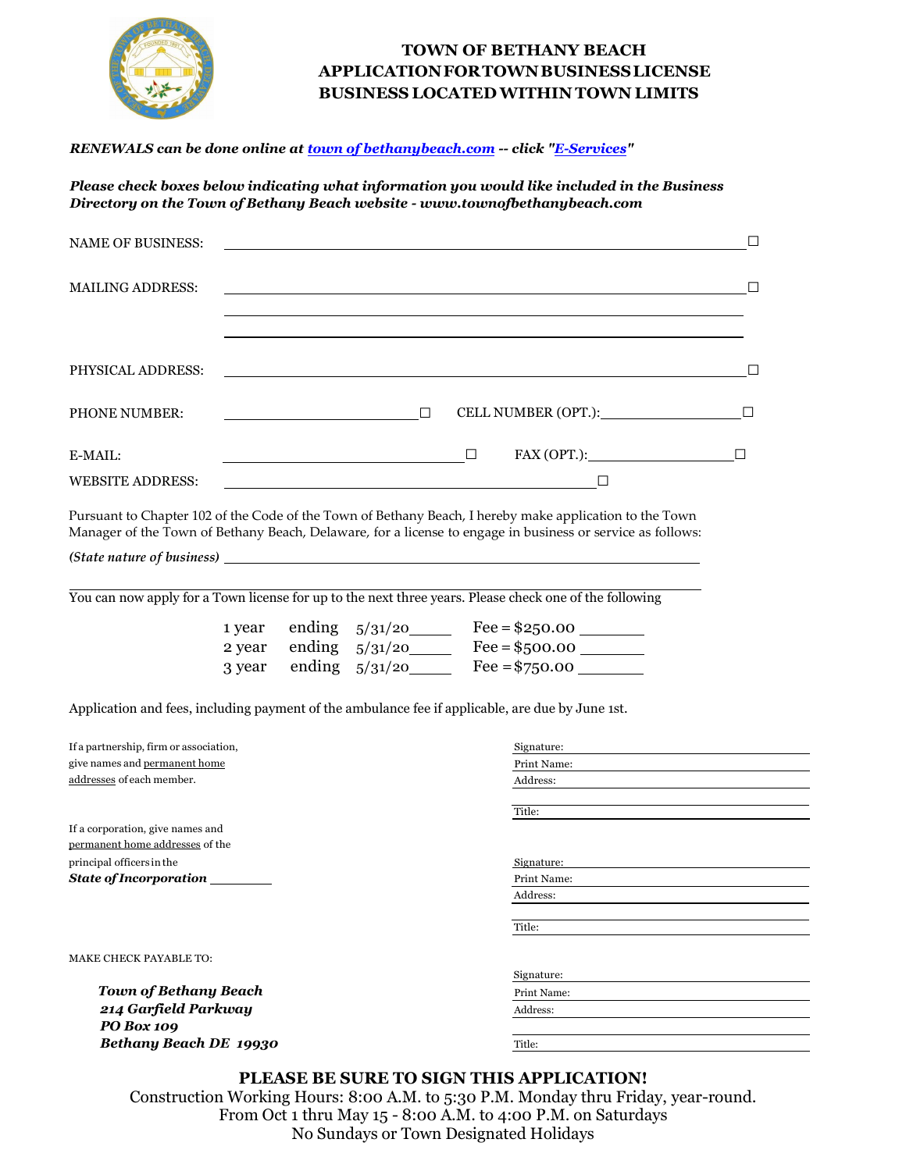

### **TOWN OF BETHANY BEACH APPLICATIONFORTOWNBUSINESSLICENSE BUSINESS LOCATEDWITHIN TOWN LIMITS**

#### *RENEWALS can be done online at [town of bethanybeach.com](https://www.townofbethanybeach.com/) -- click ["E-Services"](https://www.townofbethanybeach.com/278/Online-Bill-Payment)*

*Please check boxes below indicating what information you would like included in the Business Directory on the Town of Bethany Beach website [- www.townofbethanybeach.com](https://www.townofbethanybeach.com/)* 

|                         | NAME OF BUSINESS:                                                                                                                                                                                                              |
|-------------------------|--------------------------------------------------------------------------------------------------------------------------------------------------------------------------------------------------------------------------------|
| <b>MAILING ADDRESS:</b> | $\Box$                                                                                                                                                                                                                         |
|                         |                                                                                                                                                                                                                                |
|                         | PHYSICAL ADDRESS: The contract of the contract of the contract of the contract of the contract of the contract of the contract of the contract of the contract of the contract of the contract of the contract of the contract |
| <b>PHONE NUMBER:</b>    | CELL NUMBER (OPT.): $\qquad \qquad \Box$<br>$\Box$<br><u> Liste de la construcción de la construcción de la construcción de la construcción de la construcción de la c</u>                                                     |
| E-MAIL:                 | $\text{FAX (OPT.)}:$                                                                                                                                                                                                           |
| <b>WEBSITE ADDRESS:</b> | المواد المنادي والمستحدث والمتواطن والمستحدث والمستحدث والمستحدث والمنادي والمستحدث والمستحدث والمستحدث والمستحدث                                                                                                              |

Pursuant to Chapter 102 of the Code of the Town of Bethany Beach, I hereby make application to the Town Manager of the Town of Bethany Beach, Delaware, for a license to engage in business or service as follows:

*(State nature of business)*

You can now apply for a Town license for up to the next three years. Please check one of the following

| 1 year ending $5/31/20$ | $Fee = $250.00$ |
|-------------------------|-----------------|
| 2 year ending $5/31/20$ | $Fee = $500.00$ |
| 3 year ending $5/31/20$ | Fee = $$750.00$ |

Application and fees, including payment of the ambulance fee if applicable, are due by June 1st.

| If a partnership, firm or association, | Signature:  |
|----------------------------------------|-------------|
| give names and permanent home          | Print Name: |
| addresses of each member.              | Address:    |
|                                        |             |
|                                        | Title:      |
| If a corporation, give names and       |             |
| permanent home addresses of the        |             |
| principal officers in the              | Signature:  |
| <b>State of Incorporation</b>          | Print Name: |
|                                        | Address:    |
|                                        |             |
|                                        | Title:      |
|                                        |             |
| <b>MAKE CHECK PAYABLE TO:</b>          |             |
|                                        | Signature:  |
| <b>Town of Bethany Beach</b>           | Print Name: |
| 214 Garfield Parkway                   | Address:    |
| PO Box 109                             |             |
| Bethany Beach DE 19930                 | Title:      |
|                                        |             |

### **PLEASE BE SURE TO SIGN THIS APPLICATION!**

Construction Working Hours: 8:00 A.M. to 5:30 P.M. Monday thru Friday, year-round. From Oct 1 thru May 15 - 8:00 A.M. to 4:00 P.M. on Saturdays No Sundays or Town Designated Holidays